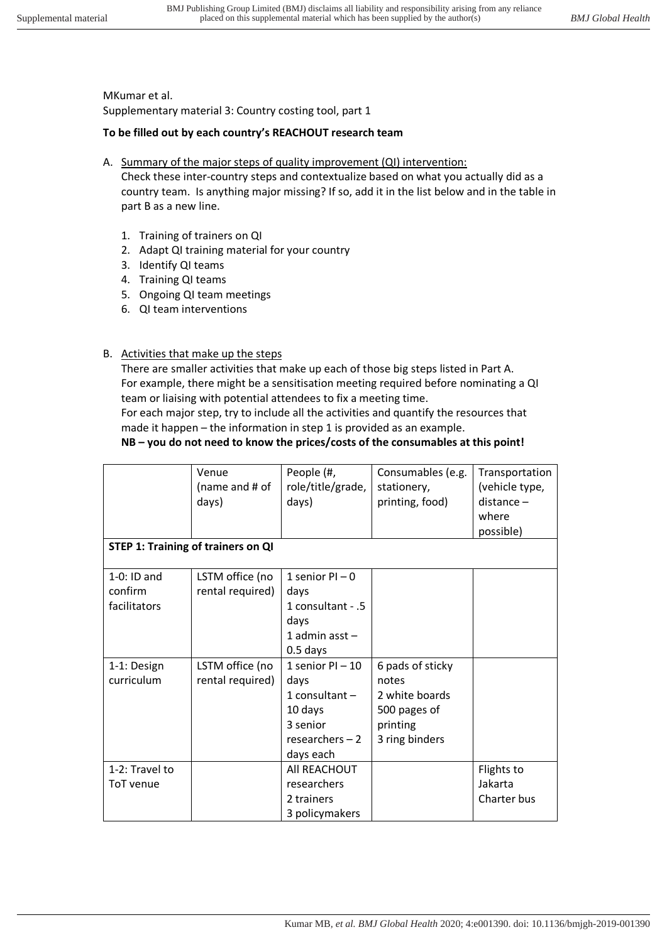#### MKumar et al.

Supplementary material 3: Country costing tool, part 1

#### **To be filled out by each country's REACHOUT research team**

A. Summary of the major steps of quality improvement (QI) intervention:

Check these inter-country steps and contextualize based on what you actually did as a country team. Is anything major missing? If so, add it in the list below and in the table in part B as a new line.

- 1. Training of trainers on QI
- 2. Adapt QI training material for your country
- 3. Identify QI teams
- 4. Training QI teams
- 5. Ongoing QI team meetings
- 6. QI team interventions

### B. Activities that make up the steps

There are smaller activities that make up each of those big steps listed in Part A. For example, there might be a sensitisation meeting required before nominating a QI team or liaising with potential attendees to fix a meeting time.

For each major step, try to include all the activities and quantify the resources that made it happen - the information in step 1 is provided as an example.

# **NB – you do not need to know the prices/costs of the consumables at this point!**

|                                           | Venue<br>(name and # of<br>days)    | People (#,<br>role/title/grade,<br>days)                                                               | Consumables (e.g.<br>stationery,<br>printing, food)                                       | Transportation<br>(vehicle type,<br>$distance -$<br>where<br>possible) |  |  |  |
|-------------------------------------------|-------------------------------------|--------------------------------------------------------------------------------------------------------|-------------------------------------------------------------------------------------------|------------------------------------------------------------------------|--|--|--|
| <b>STEP 1: Training of trainers on QI</b> |                                     |                                                                                                        |                                                                                           |                                                                        |  |  |  |
| $1-0$ : ID and<br>confirm<br>facilitators | LSTM office (no<br>rental required) | 1 senior $PI - 0$<br>days<br>1 consultant - .5<br>days<br>1 admin asst $-$<br>$0.5$ days               |                                                                                           |                                                                        |  |  |  |
| 1-1: Design<br>curriculum                 | LSTM office (no<br>rental required) | 1 senior $PI - 10$<br>days<br>1 consultant $-$<br>10 days<br>3 senior<br>researchers $-2$<br>days each | 6 pads of sticky<br>notes<br>2 white boards<br>500 pages of<br>printing<br>3 ring binders |                                                                        |  |  |  |
| 1-2: Travel to<br>ToT venue               |                                     | All REACHOUT<br>researchers<br>2 trainers<br>3 policymakers                                            |                                                                                           | Flights to<br>Jakarta<br>Charter bus                                   |  |  |  |